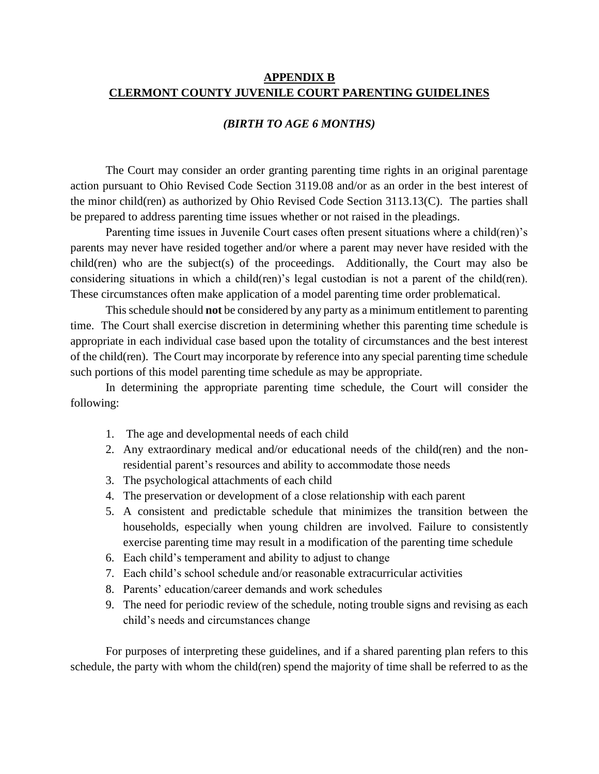#### **APPENDIX B CLERMONT COUNTY JUVENILE COURT PARENTING GUIDELINES**

#### *(BIRTH TO AGE 6 MONTHS)*

The Court may consider an order granting parenting time rights in an original parentage action pursuant to Ohio Revised Code Section 3119.08 and/or as an order in the best interest of the minor child(ren) as authorized by Ohio Revised Code Section 3113.13(C). The parties shall be prepared to address parenting time issues whether or not raised in the pleadings.

Parenting time issues in Juvenile Court cases often present situations where a child(ren)'s parents may never have resided together and/or where a parent may never have resided with the child(ren) who are the subject(s) of the proceedings. Additionally, the Court may also be considering situations in which a child(ren)'s legal custodian is not a parent of the child(ren). These circumstances often make application of a model parenting time order problematical.

This schedule should **not** be considered by any party as a minimum entitlement to parenting time. The Court shall exercise discretion in determining whether this parenting time schedule is appropriate in each individual case based upon the totality of circumstances and the best interest of the child(ren). The Court may incorporate by reference into any special parenting time schedule such portions of this model parenting time schedule as may be appropriate.

In determining the appropriate parenting time schedule, the Court will consider the following:

- 1. The age and developmental needs of each child
- 2. Any extraordinary medical and/or educational needs of the child(ren) and the nonresidential parent's resources and ability to accommodate those needs
- 3. The psychological attachments of each child
- 4. The preservation or development of a close relationship with each parent
- 5. A consistent and predictable schedule that minimizes the transition between the households, especially when young children are involved. Failure to consistently exercise parenting time may result in a modification of the parenting time schedule
- 6. Each child's temperament and ability to adjust to change
- 7. Each child's school schedule and/or reasonable extracurricular activities
- 8. Parents' education/career demands and work schedules
- 9. The need for periodic review of the schedule, noting trouble signs and revising as each child's needs and circumstances change

For purposes of interpreting these guidelines, and if a shared parenting plan refers to this schedule, the party with whom the child(ren) spend the majority of time shall be referred to as the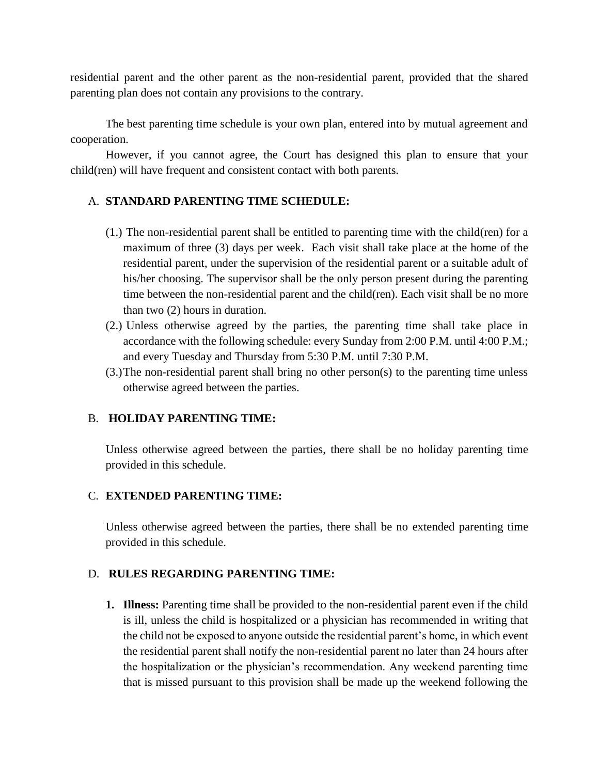residential parent and the other parent as the non-residential parent, provided that the shared parenting plan does not contain any provisions to the contrary.

The best parenting time schedule is your own plan, entered into by mutual agreement and cooperation.

However, if you cannot agree, the Court has designed this plan to ensure that your child(ren) will have frequent and consistent contact with both parents.

# A. **STANDARD PARENTING TIME SCHEDULE:**

- (1.) The non-residential parent shall be entitled to parenting time with the child(ren) for a maximum of three (3) days per week. Each visit shall take place at the home of the residential parent, under the supervision of the residential parent or a suitable adult of his/her choosing. The supervisor shall be the only person present during the parenting time between the non-residential parent and the child(ren). Each visit shall be no more than two (2) hours in duration.
- (2.) Unless otherwise agreed by the parties, the parenting time shall take place in accordance with the following schedule: every Sunday from 2:00 P.M. until 4:00 P.M.; and every Tuesday and Thursday from 5:30 P.M. until 7:30 P.M.
- (3.)The non-residential parent shall bring no other person(s) to the parenting time unless otherwise agreed between the parties.

# B. **HOLIDAY PARENTING TIME:**

Unless otherwise agreed between the parties, there shall be no holiday parenting time provided in this schedule.

# C. **EXTENDED PARENTING TIME:**

Unless otherwise agreed between the parties, there shall be no extended parenting time provided in this schedule.

# D. **RULES REGARDING PARENTING TIME:**

**1. Illness:** Parenting time shall be provided to the non-residential parent even if the child is ill, unless the child is hospitalized or a physician has recommended in writing that the child not be exposed to anyone outside the residential parent's home, in which event the residential parent shall notify the non-residential parent no later than 24 hours after the hospitalization or the physician's recommendation. Any weekend parenting time that is missed pursuant to this provision shall be made up the weekend following the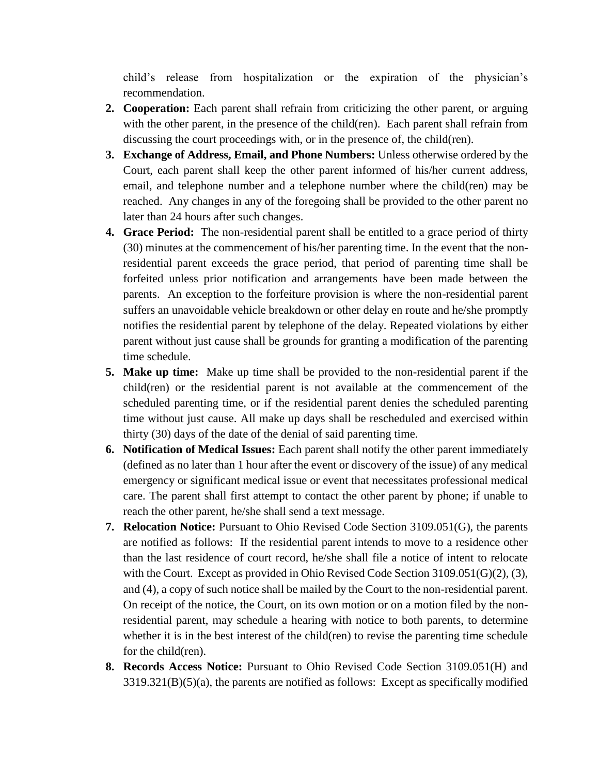child's release from hospitalization or the expiration of the physician's recommendation.

- **2. Cooperation:** Each parent shall refrain from criticizing the other parent, or arguing with the other parent, in the presence of the child(ren). Each parent shall refrain from discussing the court proceedings with, or in the presence of, the child(ren).
- **3. Exchange of Address, Email, and Phone Numbers:** Unless otherwise ordered by the Court, each parent shall keep the other parent informed of his/her current address, email, and telephone number and a telephone number where the child(ren) may be reached. Any changes in any of the foregoing shall be provided to the other parent no later than 24 hours after such changes.
- **4. Grace Period:** The non-residential parent shall be entitled to a grace period of thirty (30) minutes at the commencement of his/her parenting time. In the event that the nonresidential parent exceeds the grace period, that period of parenting time shall be forfeited unless prior notification and arrangements have been made between the parents. An exception to the forfeiture provision is where the non-residential parent suffers an unavoidable vehicle breakdown or other delay en route and he/she promptly notifies the residential parent by telephone of the delay. Repeated violations by either parent without just cause shall be grounds for granting a modification of the parenting time schedule.
- **5. Make up time:** Make up time shall be provided to the non-residential parent if the child(ren) or the residential parent is not available at the commencement of the scheduled parenting time, or if the residential parent denies the scheduled parenting time without just cause. All make up days shall be rescheduled and exercised within thirty (30) days of the date of the denial of said parenting time.
- **6. Notification of Medical Issues:** Each parent shall notify the other parent immediately (defined as no later than 1 hour after the event or discovery of the issue) of any medical emergency or significant medical issue or event that necessitates professional medical care. The parent shall first attempt to contact the other parent by phone; if unable to reach the other parent, he/she shall send a text message.
- **7. Relocation Notice:** Pursuant to Ohio Revised Code Section 3109.051(G), the parents are notified as follows: If the residential parent intends to move to a residence other than the last residence of court record, he/she shall file a notice of intent to relocate with the Court. Except as provided in Ohio Revised Code Section 3109.051(G)(2), (3), and (4), a copy of such notice shall be mailed by the Court to the non-residential parent. On receipt of the notice, the Court, on its own motion or on a motion filed by the nonresidential parent, may schedule a hearing with notice to both parents, to determine whether it is in the best interest of the child(ren) to revise the parenting time schedule for the child(ren).
- **8. Records Access Notice:** Pursuant to Ohio Revised Code Section 3109.051(H) and 3319.321(B)(5)(a), the parents are notified as follows: Except as specifically modified